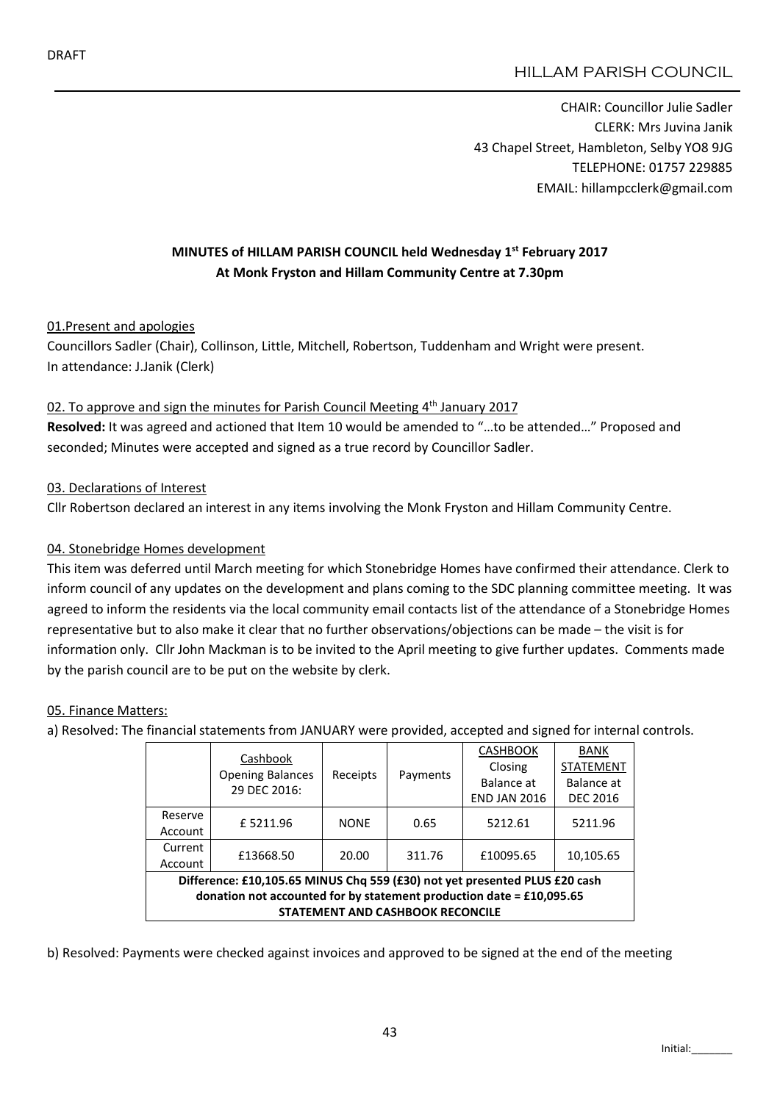# HILLAM PARISH COUNCIL

CHAIR: Councillor Julie Sadler CLERK: Mrs Juvina Janik 43 Chapel Street, Hambleton, Selby YO8 9JG TELEPHONE: 01757 229885 EMAIL: hillampcclerk@gmail.com

# MINUTES of HILLAM PARISH COUNCIL held Wednesday 1st February 2017 At Monk Fryston and Hillam Community Centre at 7.30pm

#### 01.Present and apologies

Councillors Sadler (Chair), Collinson, Little, Mitchell, Robertson, Tuddenham and Wright were present. In attendance: J.Janik (Clerk)

#### 02. To approve and sign the minutes for Parish Council Meeting 4<sup>th</sup> January 2017

Resolved: It was agreed and actioned that Item 10 would be amended to "…to be attended…" Proposed and seconded; Minutes were accepted and signed as a true record by Councillor Sadler.

#### 03. Declarations of Interest

Cllr Robertson declared an interest in any items involving the Monk Fryston and Hillam Community Centre.

#### 04. Stonebridge Homes development

This item was deferred until March meeting for which Stonebridge Homes have confirmed their attendance. Clerk to inform council of any updates on the development and plans coming to the SDC planning committee meeting. It was agreed to inform the residents via the local community email contacts list of the attendance of a Stonebridge Homes representative but to also make it clear that no further observations/objections can be made – the visit is for information only. Cllr John Mackman is to be invited to the April meeting to give further updates. Comments made by the parish council are to be put on the website by clerk.

#### 05. Finance Matters:

a) Resolved: The financial statements from JANUARY were provided, accepted and signed for internal controls.

|                                                                                                                   |                                                                            | Cashbook<br><b>Opening Balances</b><br>29 DEC 2016: | Receipts    | Payments | <b>CASHBOOK</b><br>Closing<br>Balance at | <b>BANK</b><br><b>STATEMENT</b><br>Balance at |  |
|-------------------------------------------------------------------------------------------------------------------|----------------------------------------------------------------------------|-----------------------------------------------------|-------------|----------|------------------------------------------|-----------------------------------------------|--|
|                                                                                                                   |                                                                            |                                                     |             |          | <b>END JAN 2016</b>                      | <b>DEC 2016</b>                               |  |
|                                                                                                                   | Reserve<br>Account                                                         | £5211.96                                            | <b>NONE</b> | 0.65     | 5212.61                                  | 5211.96                                       |  |
|                                                                                                                   | Current<br>Account                                                         | £13668.50                                           | 20.00       | 311.76   | £10095.65                                | 10,105.65                                     |  |
|                                                                                                                   | Difference: £10,105.65 MINUS Chq 559 (£30) not yet presented PLUS £20 cash |                                                     |             |          |                                          |                                               |  |
| donation not accounted for by statement production date = $£10,095.65$<br><b>STATEMENT AND CASHBOOK RECONCILE</b> |                                                                            |                                                     |             |          |                                          |                                               |  |
|                                                                                                                   |                                                                            |                                                     |             |          |                                          |                                               |  |

b) Resolved: Payments were checked against invoices and approved to be signed at the end of the meeting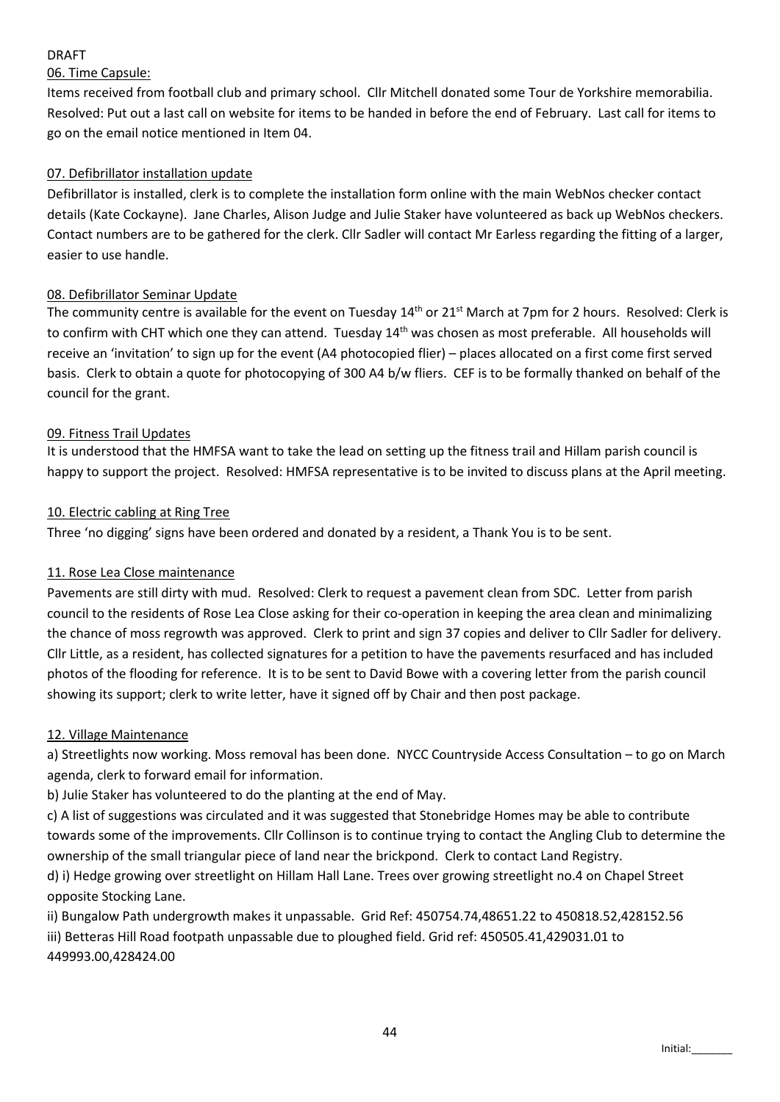# DRAFT

# 06. Time Capsule:

Items received from football club and primary school. Cllr Mitchell donated some Tour de Yorkshire memorabilia. Resolved: Put out a last call on website for items to be handed in before the end of February. Last call for items to go on the email notice mentioned in Item 04.

# 07. Defibrillator installation update

Defibrillator is installed, clerk is to complete the installation form online with the main WebNos checker contact details (Kate Cockayne). Jane Charles, Alison Judge and Julie Staker have volunteered as back up WebNos checkers. Contact numbers are to be gathered for the clerk. Cllr Sadler will contact Mr Earless regarding the fitting of a larger, easier to use handle.

### 08. Defibrillator Seminar Update

The community centre is available for the event on Tuesday  $14<sup>th</sup>$  or  $21<sup>st</sup>$  March at 7pm for 2 hours. Resolved: Clerk is to confirm with CHT which one they can attend. Tuesday 14<sup>th</sup> was chosen as most preferable. All households will receive an 'invitation' to sign up for the event (A4 photocopied flier) – places allocated on a first come first served basis. Clerk to obtain a quote for photocopying of 300 A4 b/w fliers. CEF is to be formally thanked on behalf of the council for the grant.

### 09. Fitness Trail Updates

It is understood that the HMFSA want to take the lead on setting up the fitness trail and Hillam parish council is happy to support the project. Resolved: HMFSA representative is to be invited to discuss plans at the April meeting.

#### 10. Electric cabling at Ring Tree

Three 'no digging' signs have been ordered and donated by a resident, a Thank You is to be sent.

# 11. Rose Lea Close maintenance

Pavements are still dirty with mud. Resolved: Clerk to request a pavement clean from SDC. Letter from parish council to the residents of Rose Lea Close asking for their co-operation in keeping the area clean and minimalizing the chance of moss regrowth was approved. Clerk to print and sign 37 copies and deliver to Cllr Sadler for delivery. Cllr Little, as a resident, has collected signatures for a petition to have the pavements resurfaced and has included photos of the flooding for reference. It is to be sent to David Bowe with a covering letter from the parish council showing its support; clerk to write letter, have it signed off by Chair and then post package.

#### 12. Village Maintenance

a) Streetlights now working. Moss removal has been done. NYCC Countryside Access Consultation – to go on March agenda, clerk to forward email for information.

b) Julie Staker has volunteered to do the planting at the end of May.

c) A list of suggestions was circulated and it was suggested that Stonebridge Homes may be able to contribute towards some of the improvements. Cllr Collinson is to continue trying to contact the Angling Club to determine the ownership of the small triangular piece of land near the brickpond. Clerk to contact Land Registry.

d) i) Hedge growing over streetlight on Hillam Hall Lane. Trees over growing streetlight no.4 on Chapel Street opposite Stocking Lane.

ii) Bungalow Path undergrowth makes it unpassable. Grid Ref: 450754.74,48651.22 to 450818.52,428152.56 iii) Betteras Hill Road footpath unpassable due to ploughed field. Grid ref: 450505.41,429031.01 to 449993.00,428424.00